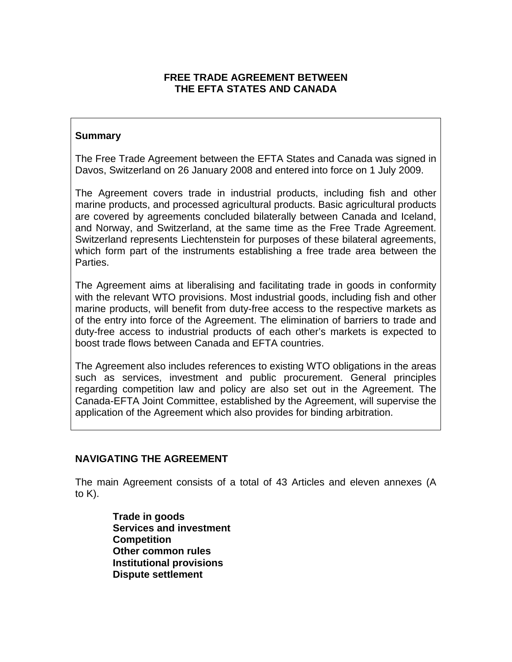# **FREE TRADE AGREEMENT BETWEEN THE EFTA STATES AND CANADA**

# **Summary**

The Free Trade Agreement between the EFTA States and Canada was signed in Davos, Switzerland on 26 January 2008 and entered into force on 1 July 2009.

The Agreement covers trade in industrial products, including fish and other marine products, and processed agricultural products. Basic agricultural products are covered by agreements concluded bilaterally between Canada and Iceland, and Norway, and Switzerland, at the same time as the Free Trade Agreement. Switzerland represents Liechtenstein for purposes of these bilateral agreements, which form part of the instruments establishing a free trade area between the Parties.

The Agreement aims at liberalising and facilitating trade in goods in conformity with the relevant WTO provisions. Most industrial goods, including fish and other marine products, will benefit from duty-free access to the respective markets as of the entry into force of the Agreement. The elimination of barriers to trade and duty-free access to industrial products of each other's markets is expected to boost trade flows between Canada and EFTA countries.

The Agreement also includes references to existing WTO obligations in the areas such as services, investment and public procurement. General principles regarding competition law and policy are also set out in the Agreement. The Canada-EFTA Joint Committee, established by the Agreement, will supervise the application of the Agreement which also provides for binding arbitration.

#### **NAVIGATING THE AGREEMENT**

The main Agreement consists of a total of 43 Articles and eleven annexes (A to  $K$ ).

> **Trade in goods Services and investment Competition Other common rules Institutional provisions Dispute settlement**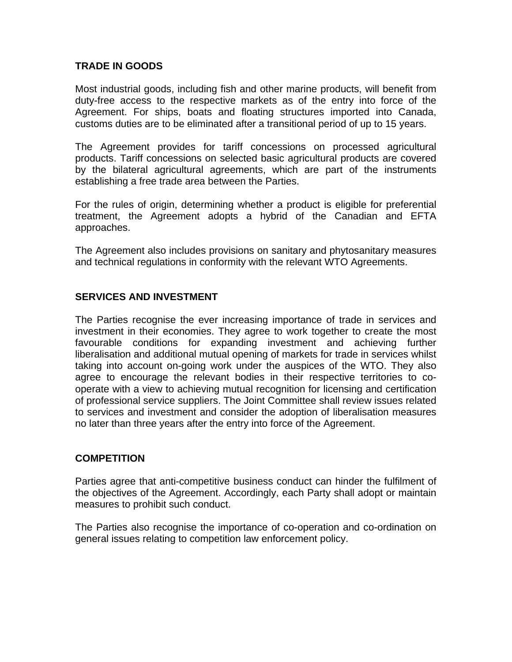### **TRADE IN GOODS**

Most industrial goods, including fish and other marine products, will benefit from duty-free access to the respective markets as of the entry into force of the Agreement. For ships, boats and floating structures imported into Canada, customs duties are to be eliminated after a transitional period of up to 15 years.

The Agreement provides for tariff concessions on processed agricultural products. Tariff concessions on selected basic agricultural products are covered by the bilateral agricultural agreements, which are part of the instruments establishing a free trade area between the Parties.

For the rules of origin, determining whether a product is eligible for preferential treatment, the Agreement adopts a hybrid of the Canadian and EFTA approaches.

The Agreement also includes provisions on sanitary and phytosanitary measures and technical regulations in conformity with the relevant WTO Agreements.

# **SERVICES AND INVESTMENT**

The Parties recognise the ever increasing importance of trade in services and investment in their economies. They agree to work together to create the most favourable conditions for expanding investment and achieving further liberalisation and additional mutual opening of markets for trade in services whilst taking into account on-going work under the auspices of the WTO. They also agree to encourage the relevant bodies in their respective territories to cooperate with a view to achieving mutual recognition for licensing and certification of professional service suppliers. The Joint Committee shall review issues related to services and investment and consider the adoption of liberalisation measures no later than three years after the entry into force of the Agreement.

# **COMPETITION**

Parties agree that anti-competitive business conduct can hinder the fulfilment of the objectives of the Agreement. Accordingly, each Party shall adopt or maintain measures to prohibit such conduct.

The Parties also recognise the importance of co-operation and co-ordination on general issues relating to competition law enforcement policy.